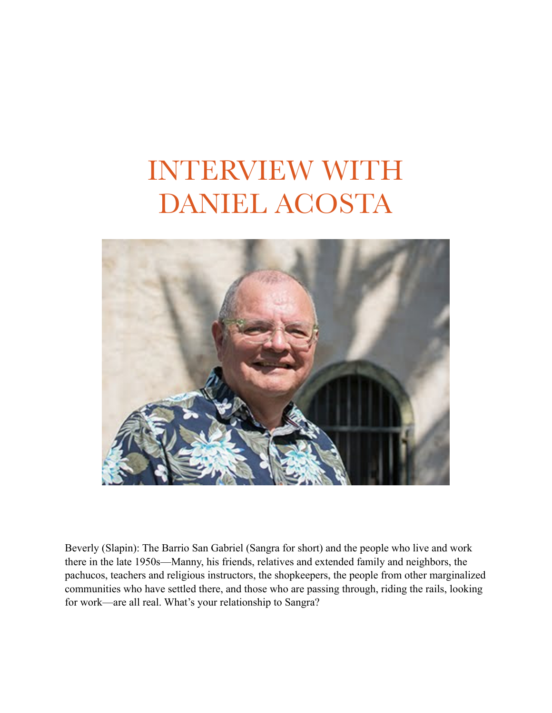## INTERVIEW WITH DANIEL ACOSTA



Beverly (Slapin): The Barrio San Gabriel (Sangra for short) and the people who live and work there in the late 1950s—Manny, his friends, relatives and extended family and neighbors, the pachucos, teachers and religious instructors, the shopkeepers, the people from other marginalized communities who have settled there, and those who are passing through, riding the rails, looking for work—are all real. What's your relationship to Sangra?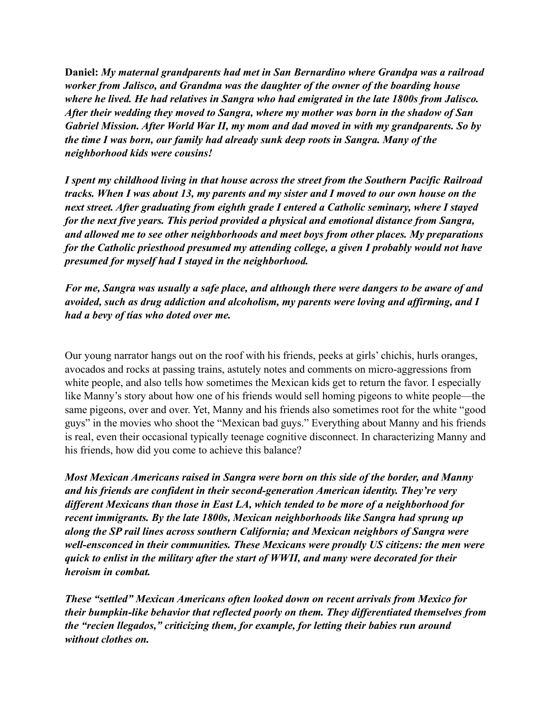**Daniel:** *My maternal grandparents had met in San Bernardino where Grandpa was a railroad worker from Jalisco, and Grandma was the daughter of the owner of the boarding house where he lived. He had relatives in Sangra who had emigrated in the late 1800s from Jalisco. After their wedding they moved to Sangra, where my mother was born in the shadow of San Gabriel Mission. After World War II, my mom and dad moved in with my grandparents. So by the time I was born, our family had already sunk deep roots in Sangra. Many of the neighborhood kids were cousins!*

*I spent my childhood living in that house across the street from the Southern Pacific Railroad tracks. When I was about 13, my parents and my sister and I moved to our own house on the next street. After graduating from eighth grade I entered a Catholic seminary, where I stayed for the next five years. This period provided a physical and emotional distance from Sangra, and allowed me to see other neighborhoods and meet boys from other places. My preparations for the Catholic priesthood presumed my attending college, a given I probably would not have presumed for myself had I stayed in the neighborhood.*

*For me, Sangra was usually a safe place, and although there were dangers to be aware of and avoided, such as drug addiction and alcoholism, my parents were loving and affirming, and I had a bevy of tías who doted over me.*

Our young narrator hangs out on the roof with his friends, peeks at girls' chichis, hurls oranges, avocados and rocks at passing trains, astutely notes and comments on micro-aggressions from white people, and also tells how sometimes the Mexican kids get to return the favor. I especially like Manny's story about how one of his friends would sell homing pigeons to white people—the same pigeons, over and over. Yet, Manny and his friends also sometimes root for the white "good guys" in the movies who shoot the "Mexican bad guys." Everything about Manny and his friends is real, even their occasional typically teenage cognitive disconnect. In characterizing Manny and his friends, how did you come to achieve this balance?

*Most Mexican Americans raised in Sangra were born on this side of the border, and Manny and his friends are confident in their second-generation American identity. They're very different Mexicans than those in East LA, which tended to be more of a neighborhood for recent immigrants. By the late 1800s, Mexican neighborhoods like Sangra had sprung up along the SP rail lines across southern California; and Mexican neighbors of Sangra were well-ensconced in their communities. These Mexicans were proudly US citizens: the men were quick to enlist in the military after the start of WWII, and many were decorated for their heroism in combat.*

*These "settled" Mexican Americans often looked down on recent arrivals from Mexico for their bumpkin-like behavior that reflected poorly on them. They differentiated themselves from the "recien llegados," criticizing them, for example, for letting their babies run around without clothes on.*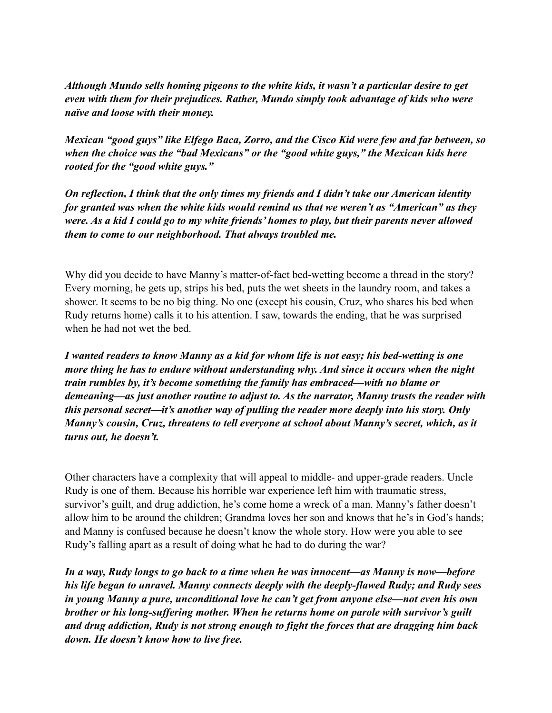*Although Mundo sells homing pigeons to the white kids, it wasn't a particular desire to get even with them for their prejudices. Rather, Mundo simply took advantage of kids who were naïve and loose with their money.*

*Mexican "good guys" like Elfego Baca, Zorro, and the Cisco Kid were few and far between, so when the choice was the "bad Mexicans" or the "good white guys," the Mexican kids here rooted for the "good white guys."*

*On reflection, I think that the only times my friends and I didn't take our American identity for granted was when the white kids would remind us that we weren't as "American" as they were. As a kid I could go to my white friends' homes to play, but their parents never allowed them to come to our neighborhood. That always troubled me.*

Why did you decide to have Manny's matter-of-fact bed-wetting become a thread in the story? Every morning, he gets up, strips his bed, puts the wet sheets in the laundry room, and takes a shower. It seems to be no big thing. No one (except his cousin, Cruz, who shares his bed when Rudy returns home) calls it to his attention. I saw, towards the ending, that he was surprised when he had not wet the bed.

*I wanted readers to know Manny as a kid for whom life is not easy; his bed-wetting is one more thing he has to endure without understanding why. And since it occurs when the night train rumbles by, it's become something the family has embraced—with no blame or demeaning—as just another routine to adjust to. As the narrator, Manny trusts the reader with this personal secret—it's another way of pulling the reader more deeply into his story. Only Manny's cousin, Cruz, threatens to tell everyone at school about Manny's secret, which, as it turns out, he doesn't.*

Other characters have a complexity that will appeal to middle- and upper-grade readers. Uncle Rudy is one of them. Because his horrible war experience left him with traumatic stress, survivor's guilt, and drug addiction, he's come home a wreck of a man. Manny's father doesn't allow him to be around the children; Grandma loves her son and knows that he's in God's hands; and Manny is confused because he doesn't know the whole story. How were you able to see Rudy's falling apart as a result of doing what he had to do during the war?

*In a way, Rudy longs to go back to a time when he was innocent—as Manny is now—before his life began to unravel. Manny connects deeply with the deeply-flawed Rudy; and Rudy sees in young Manny a pure, unconditional love he can't get from anyone else—not even his own brother or his long-suffering mother. When he returns home on parole with survivor's guilt and drug addiction, Rudy is not strong enough to fight the forces that are dragging him back down. He doesn't know how to live free.*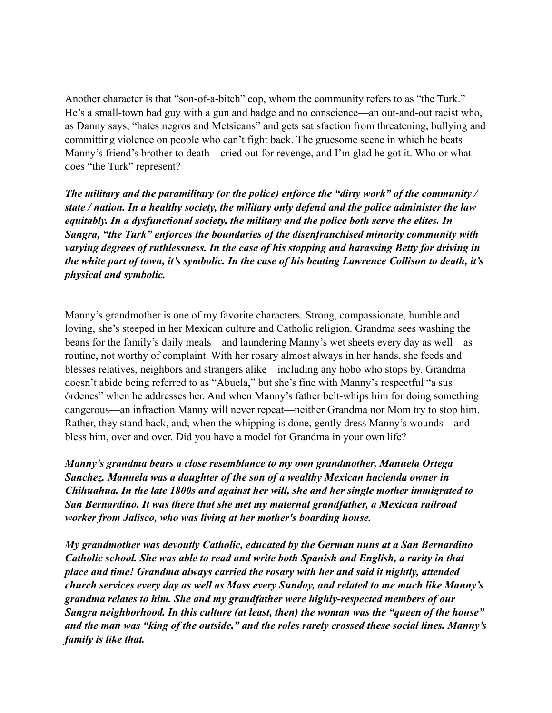Another character is that "son-of-a-bitch" cop, whom the community refers to as "the Turk." He's a small-town bad guy with a gun and badge and no conscience—an out-and-out racist who, as Danny says, "hates negros and Metsicans" and gets satisfaction from threatening, bullying and committing violence on people who can't fight back. The gruesome scene in which he beats Manny's friend's brother to death—cried out for revenge, and I'm glad he got it. Who or what does "the Turk" represent?

*The military and the paramilitary (or the police) enforce the "dirty work" of the community / state / nation. In a healthy society, the military only defend and the police administer the law equitably. In a dysfunctional society, the military and the police both serve the elites. In Sangra, "the Turk" enforces the boundaries of the disenfranchised minority community with varying degrees of ruthlessness. In the case of his stopping and harassing Betty for driving in the white part of town, it's symbolic. In the case of his beating Lawrence Collison to death, it's physical and symbolic.*

Manny's grandmother is one of my favorite characters. Strong, compassionate, humble and loving, she's steeped in her Mexican culture and Catholic religion. Grandma sees washing the beans for the family's daily meals—and laundering Manny's wet sheets every day as well—as routine, not worthy of complaint. With her rosary almost always in her hands, she feeds and blesses relatives, neighbors and strangers alike—including any hobo who stops by. Grandma doesn't abide being referred to as "Abuela," but she's fine with Manny's respectful "a sus órdenes" when he addresses her. And when Manny's father belt-whips him for doing something dangerous—an infraction Manny will never repeat—neither Grandma nor Mom try to stop him. Rather, they stand back, and, when the whipping is done, gently dress Manny's wounds—and bless him, over and over. Did you have a model for Grandma in your own life?

*Manny's grandma bears a close resemblance to my own grandmother, Manuela Ortega Sanchez. Manuela was a daughter of the son of a wealthy Mexican hacienda owner in Chihuahua. In the late 1800s and against her will, she and her single mother immigrated to San Bernardino. It was there that she met my maternal grandfather, a Mexican railroad worker from Jalisco, who was living at her mother's boarding house.*

*My grandmother was devoutly Catholic, educated by the German nuns at a San Bernardino Catholic school. She was able to read and write both Spanish and English, a rarity in that place and time! Grandma always carried the rosary with her and said it nightly, attended church services every day as well as Mass every Sunday, and related to me much like Manny's grandma relates to him. She and my grandfather were highly-respected members of our Sangra neighborhood. In this culture (at least, then) the woman was the "queen of the house" and the man was "king of the outside," and the roles rarely crossed these social lines. Manny's family is like that.*